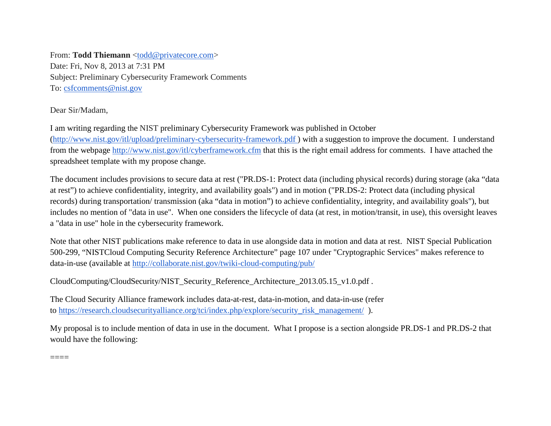From: **Todd Thiemann** [<todd@privatecore.com>](mailto:todd@privatecore.com) Date: Fri, Nov 8, 2013 at 7:31 PM Subject: Preliminary Cybersecurity Framework Comments To: [csfcomments@nist.gov](mailto:csfcomments@nist.gov)

Dear Sir/Madam,

I am writing regarding the NIST preliminary Cybersecurity Framework was published in October

[\(http://www.nist.gov/itl/upload/preliminary-cybersecurity-framework.pdf](http://www.nist.gov/itl/upload/preliminary-cybersecurity-framework.pdf) ) with a suggestion to improve the document. I understand from the webpage <http://www.nist.gov/itl/cyberframework.cfm> that this is the right email address for comments. I have attached the spreadsheet template with my propose change.

The document includes provisions to secure data at rest ("PR.DS-1: Protect data (including physical records) during storage (aka "data at rest") to achieve confidentiality, integrity, and availability goals") and in motion ("PR.DS-2: Protect data (including physical records) during transportation/ transmission (aka "data in motion") to achieve confidentiality, integrity, and availability goals"), but includes no mention of "data in use". When one considers the lifecycle of data (at rest, in motion/transit, in use), this oversight leaves a "data in use" hole in the cybersecurity framework.

Note that other NIST publications make reference to data in use alongside data in motion and data at rest. NIST Special Publication 500-299, "NISTCloud Computing Security Reference Architecture" page 107 under "Cryptographic Services" makes reference to data-in-use (available at <http://collaborate.nist.gov/twiki-cloud-computing/pub/>

CloudComputing/CloudSecurity/NIST\_Security\_Reference\_Architecture\_2013.05.15\_v1.0.pdf .

The Cloud Security Alliance framework includes data-at-rest, data-in-motion, and data-in-use (refer to [https://research.cloudsecurityalliance.org/tci/index.php/explore/security\\_risk\\_management/](https://research.cloudsecurityalliance.org/tci/index.php/explore/security_risk_management/) ).

My proposal is to include mention of data in use in the document. What I propose is a section alongside PR.DS-1 and PR.DS-2 that would have the following:

====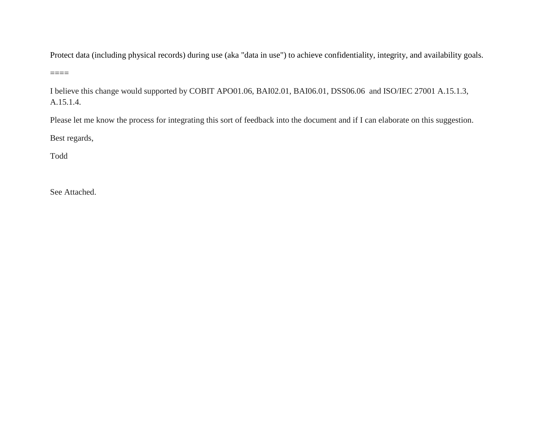Protect data (including physical records) during use (aka "data in use") to achieve confidentiality, integrity, and availability goals.

 $=$ 

I believe this change would supported by COBIT APO01.06, BAI02.01, BAI06.01, DSS06.06 and ISO/IEC 27001 A.15.1.3, A.15.1.4.

Please let me know the process for integrating this sort of feedback into the document and if I can elaborate on this suggestion.

Best regards,

Todd

See Attached.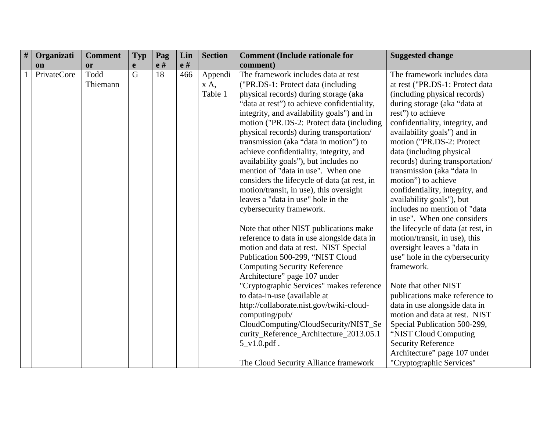| # | Organizati  | <b>Comment</b> | <b>Typ</b>     | Pag | Lin | <b>Section</b> | <b>Comment (Include rationale for</b>        | <b>Suggested change</b>            |
|---|-------------|----------------|----------------|-----|-----|----------------|----------------------------------------------|------------------------------------|
|   | on          | <b>or</b>      | e              | e#  | e#  |                | comment)                                     |                                    |
|   | PrivateCore | Todd           | $\overline{G}$ | 18  | 466 | Appendi        | The framework includes data at rest          | The framework includes data        |
|   |             | Thiemann       |                |     |     | X A            | ("PR.DS-1: Protect data (including           | at rest ("PR.DS-1: Protect data    |
|   |             |                |                |     |     | Table 1        | physical records) during storage (aka        | (including physical records)       |
|   |             |                |                |     |     |                | "data at rest") to achieve confidentiality,  | during storage (aka "data at       |
|   |             |                |                |     |     |                | integrity, and availability goals") and in   | rest") to achieve                  |
|   |             |                |                |     |     |                | motion ("PR.DS-2: Protect data (including    | confidentiality, integrity, and    |
|   |             |                |                |     |     |                | physical records) during transportation/     | availability goals") and in        |
|   |             |                |                |     |     |                | transmission (aka "data in motion") to       | motion ("PR.DS-2: Protect          |
|   |             |                |                |     |     |                | achieve confidentiality, integrity, and      | data (including physical           |
|   |             |                |                |     |     |                | availability goals"), but includes no        | records) during transportation/    |
|   |             |                |                |     |     |                | mention of "data in use". When one           | transmission (aka "data in         |
|   |             |                |                |     |     |                | considers the lifecycle of data (at rest, in | motion") to achieve                |
|   |             |                |                |     |     |                | motion/transit, in use), this oversight      | confidentiality, integrity, and    |
|   |             |                |                |     |     |                | leaves a "data in use" hole in the           | availability goals"), but          |
|   |             |                |                |     |     |                | cybersecurity framework.                     | includes no mention of "data       |
|   |             |                |                |     |     |                |                                              | in use". When one considers        |
|   |             |                |                |     |     |                | Note that other NIST publications make       | the lifecycle of data (at rest, in |
|   |             |                |                |     |     |                | reference to data in use alongside data in   | motion/transit, in use), this      |
|   |             |                |                |     |     |                | motion and data at rest. NIST Special        | oversight leaves a "data in        |
|   |             |                |                |     |     |                | Publication 500-299, "NIST Cloud             | use" hole in the cybersecurity     |
|   |             |                |                |     |     |                | <b>Computing Security Reference</b>          | framework.                         |
|   |             |                |                |     |     |                | Architecture" page 107 under                 |                                    |
|   |             |                |                |     |     |                | "Cryptographic Services" makes reference     | Note that other NIST               |
|   |             |                |                |     |     |                | to data-in-use (available at                 | publications make reference to     |
|   |             |                |                |     |     |                | http://collaborate.nist.gov/twiki-cloud-     | data in use alongside data in      |
|   |             |                |                |     |     |                | computing/pub/                               | motion and data at rest. NIST      |
|   |             |                |                |     |     |                | CloudComputing/CloudSecurity/NIST_Se         | Special Publication 500-299,       |
|   |             |                |                |     |     |                | curity_Reference_Architecture_2013.05.1      | "NIST Cloud Computing              |
|   |             |                |                |     |     |                | $5_v1.0.pdf$ .                               | <b>Security Reference</b>          |
|   |             |                |                |     |     |                |                                              | Architecture" page 107 under       |
|   |             |                |                |     |     |                | The Cloud Security Alliance framework        | "Cryptographic Services"           |